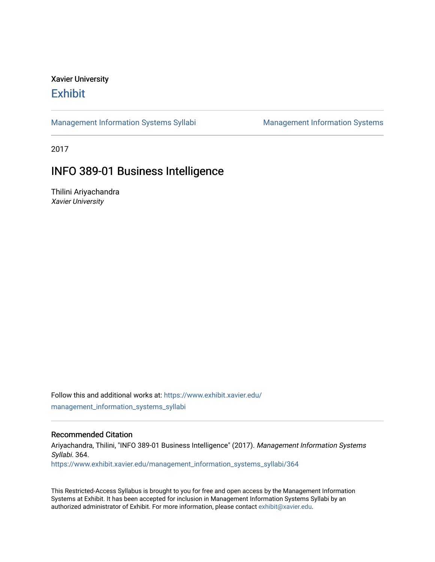# Xavier University **Exhibit**

[Management Information Systems Syllabi](https://www.exhibit.xavier.edu/management_information_systems_syllabi) Management Information Systems

2017

# INFO 389-01 Business Intelligence

Thilini Ariyachandra Xavier University

Follow this and additional works at: [https://www.exhibit.xavier.edu/](https://www.exhibit.xavier.edu/management_information_systems_syllabi?utm_source=www.exhibit.xavier.edu%2Fmanagement_information_systems_syllabi%2F364&utm_medium=PDF&utm_campaign=PDFCoverPages) [management\\_information\\_systems\\_syllabi](https://www.exhibit.xavier.edu/management_information_systems_syllabi?utm_source=www.exhibit.xavier.edu%2Fmanagement_information_systems_syllabi%2F364&utm_medium=PDF&utm_campaign=PDFCoverPages) 

#### Recommended Citation

Ariyachandra, Thilini, "INFO 389-01 Business Intelligence" (2017). Management Information Systems Syllabi. 364. [https://www.exhibit.xavier.edu/management\\_information\\_systems\\_syllabi/364](https://www.exhibit.xavier.edu/management_information_systems_syllabi/364?utm_source=www.exhibit.xavier.edu%2Fmanagement_information_systems_syllabi%2F364&utm_medium=PDF&utm_campaign=PDFCoverPages) 

This Restricted-Access Syllabus is brought to you for free and open access by the Management Information Systems at Exhibit. It has been accepted for inclusion in Management Information Systems Syllabi by an authorized administrator of Exhibit. For more information, please contact [exhibit@xavier.edu](mailto:exhibit@xavier.edu).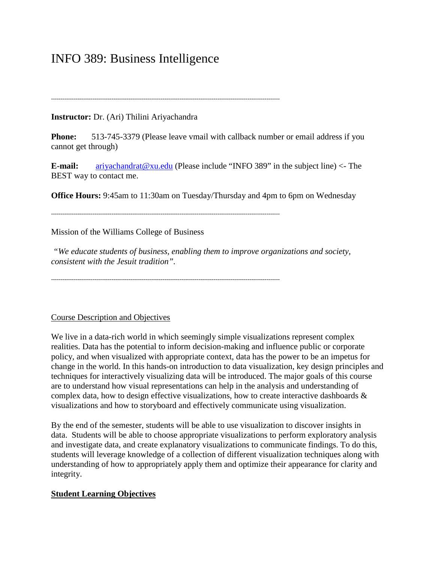# INFO 389: Business Intelligence

# **Instructor:** Dr. (Ari) Thilini Ariyachandra

**Phone:** 513-745-3379 (Please leave vmail with callback number or email address if you cannot get through)

**E-mail:** [ariyachandrat@xu.edu](mailto:ariyachandrat@xu.edu) (Please include "INFO 389" in the subject line) <- The BEST way to contact me.

**Office Hours:** 9:45am to 11:30am on Tuesday/Thursday and 4pm to 6pm on Wednesday

-------------------------------------------------------------------------------------------------------------------------

-------------------------------------------------------------------------------------------------------------------------

Mission of the Williams College of Business

*"We educate students of business, enabling them to improve organizations and society, consistent with the Jesuit tradition".*

-------------------------------------------------------------------------------------------------------------------------

### Course Description and Objectives

We live in a data-rich world in which seemingly simple visualizations represent complex realities. Data has the potential to inform decision-making and influence public or corporate policy, and when visualized with appropriate context, data has the power to be an impetus for change in the world. In this hands-on introduction to data visualization, key design principles and techniques for interactively visualizing data will be introduced. The major goals of this course are to understand how visual representations can help in the analysis and understanding of complex data, how to design effective visualizations, how to create interactive dashboards & visualizations and how to storyboard and effectively communicate using visualization.

By the end of the semester, students will be able to use visualization to discover insights in data. Students will be able to choose appropriate visualizations to perform exploratory analysis and investigate data, and create explanatory visualizations to communicate findings. To do this, students will leverage knowledge of a collection of different visualization techniques along with understanding of how to appropriately apply them and optimize their appearance for clarity and integrity.

### **Student Learning Objectives**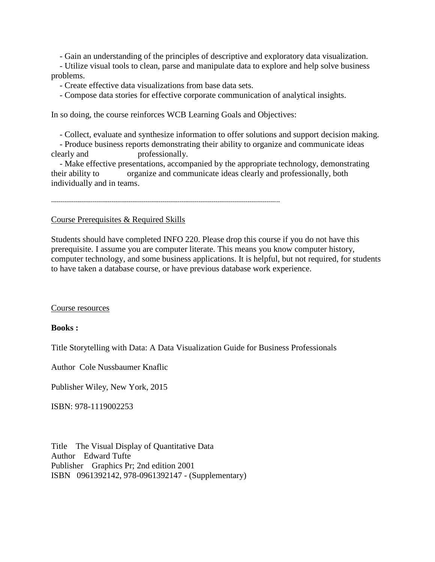- Gain an understanding of the principles of descriptive and exploratory data visualization.

 - Utilize visual tools to clean, parse and manipulate data to explore and help solve business problems.

- Create effective data visualizations from base data sets.

- Compose data stories for effective corporate communication of analytical insights.

In so doing, the course reinforces WCB Learning Goals and Objectives:

- Collect, evaluate and synthesize information to offer solutions and support decision making.

 - Produce business reports demonstrating their ability to organize and communicate ideas clearly and professionally.

 - Make effective presentations, accompanied by the appropriate technology, demonstrating their ability to organize and communicate ideas clearly and professionally, both individually and in teams.

-------------------------------------------------------------------------------------------------------------------------

Course Prerequisites & Required Skills

Students should have completed INFO 220. Please drop this course if you do not have this prerequisite. I assume you are computer literate. This means you know computer history, computer technology, and some business applications. It is helpful, but not required, for students to have taken a database course, or have previous database work experience.

#### Course resources

#### **Books :**

Title Storytelling with Data: A Data Visualization Guide for Business Professionals

Author Cole Nussbaumer Knaflic

Publisher Wiley, New York, 2015

ISBN: 978-1119002253

Title The Visual Display of Quantitative Data Author Edward Tufte Publisher Graphics Pr; 2nd edition 2001 ISBN 0961392142, 978-0961392147 - (Supplementary)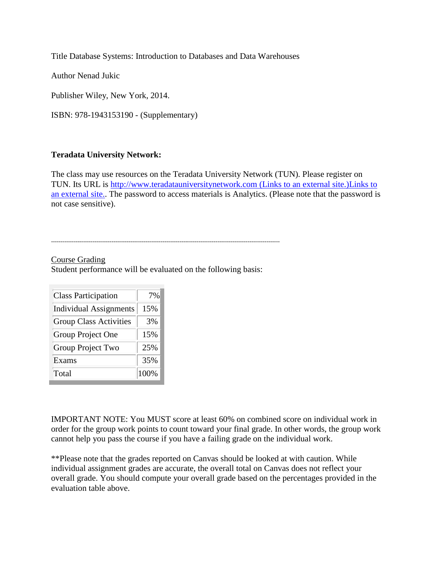Title Database Systems: Introduction to Databases and Data Warehouses

Author Nenad Jukic

Publisher Wiley, New York, 2014.

ISBN: 978-1943153190 - (Supplementary)

# **Teradata University Network:**

The class may use resources on the Teradata University Network (TUN). Please register on TUN. Its URL is [http://www.teradatauniversitynetwork.com](http://www.teradatauniversitynetwork.com/) (Links to an external site.)Links to [an external site..](http://www.teradatauniversitynetwork.com/) The password to access materials is Analytics. (Please note that the password is not case sensitive).

### Course Grading Student performance will be evaluated on the following basis:

| <b>Class Participation</b>    | 7%   |
|-------------------------------|------|
| <b>Individual Assignments</b> | 15%  |
| <b>Group Class Activities</b> | 3%   |
| Group Project One             | 15%  |
| Group Project Two             | 25%  |
| Exams                         | 35%  |
| Total                         | 100% |

IMPORTANT NOTE: You MUST score at least 60% on combined score on individual work in order for the group work points to count toward your final grade. In other words, the group work cannot help you pass the course if you have a failing grade on the individual work.

\*\*Please note that the grades reported on Canvas should be looked at with caution. While individual assignment grades are accurate, the overall total on Canvas does not reflect your overall grade. You should compute your overall grade based on the percentages provided in the evaluation table above.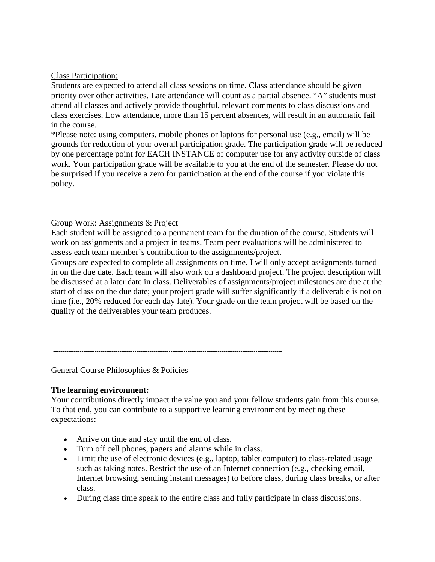## Class Participation:

Students are expected to attend all class sessions on time. Class attendance should be given priority over other activities. Late attendance will count as a partial absence. "A" students must attend all classes and actively provide thoughtful, relevant comments to class discussions and class exercises. Low attendance, more than 15 percent absences, will result in an automatic fail in the course.

\*Please note: using computers, mobile phones or laptops for personal use (e.g., email) will be grounds for reduction of your overall participation grade. The participation grade will be reduced by one percentage point for EACH INSTANCE of computer use for any activity outside of class work. Your participation grade will be available to you at the end of the semester. Please do not be surprised if you receive a zero for participation at the end of the course if you violate this policy.

# Group Work: Assignments & Project

Each student will be assigned to a permanent team for the duration of the course. Students will work on assignments and a project in teams. Team peer evaluations will be administered to assess each team member's contribution to the assignments/project.

Groups are expected to complete all assignments on time. I will only accept assignments turned in on the due date. Each team will also work on a dashboard project. The project description will be discussed at a later date in class. Deliverables of assignments/project milestones are due at the start of class on the due date; your project grade will suffer significantly if a deliverable is not on time (i.e., 20% reduced for each day late). Your grade on the team project will be based on the quality of the deliverables your team produces.

-------------------------------------------------------------------------------------------------------------------------

### General Course Philosophies & Policies

### **The learning environment:**

Your contributions directly impact the value you and your fellow students gain from this course. To that end, you can contribute to a supportive learning environment by meeting these expectations:

- Arrive on time and stay until the end of class.
- Turn off cell phones, pagers and alarms while in class.
- Limit the use of electronic devices (e.g., laptop, tablet computer) to class-related usage such as taking notes. Restrict the use of an Internet connection (e.g., checking email, Internet browsing, sending instant messages) to before class, during class breaks, or after class.
- During class time speak to the entire class and fully participate in class discussions.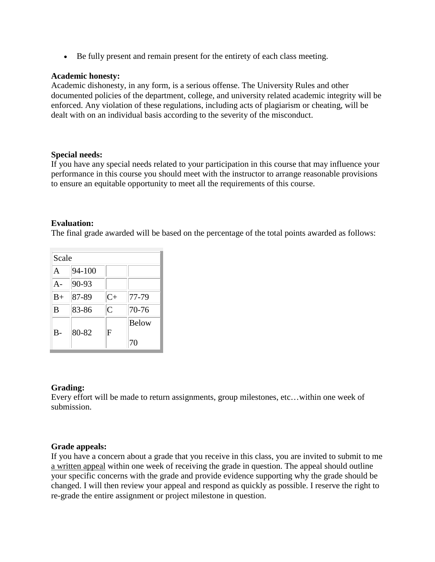• Be fully present and remain present for the entirety of each class meeting.

### **Academic honesty:**

Academic dishonesty, in any form, is a serious offense. The University Rules and other documented policies of the department, college, and university related academic integrity will be enforced. Any violation of these regulations, including acts of plagiarism or cheating, will be dealt with on an individual basis according to the severity of the misconduct.

### **Special needs:**

If you have any special needs related to your participation in this course that may influence your performance in this course you should meet with the instructor to arrange reasonable provisions to ensure an equitable opportunity to meet all the requirements of this course.

# **Evaluation:**

The final grade awarded will be based on the percentage of the total points awarded as follows:

| Scale |        |                |             |  |
|-------|--------|----------------|-------------|--|
| A     | 94-100 |                |             |  |
| $A -$ | 90-93  |                |             |  |
| $B+$  | 87-89  | $C+$           | 77-79       |  |
| B     | 83-86  | $\overline{C}$ | 70-76       |  |
| В-    | 80-82  | F              | Below<br>70 |  |

### **Grading:**

Every effort will be made to return assignments, group milestones, etc…within one week of submission.

### **Grade appeals:**

If you have a concern about a grade that you receive in this class, you are invited to submit to me a written appeal within one week of receiving the grade in question. The appeal should outline your specific concerns with the grade and provide evidence supporting why the grade should be changed. I will then review your appeal and respond as quickly as possible. I reserve the right to re-grade the entire assignment or project milestone in question.